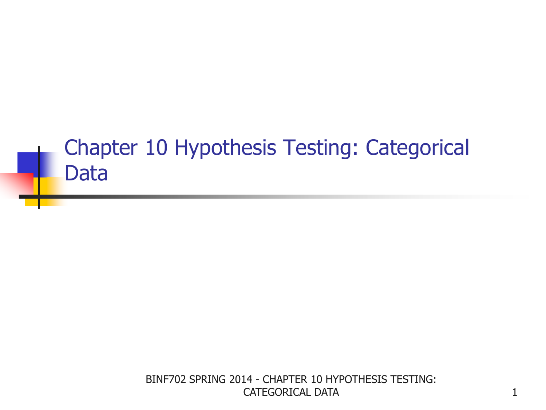### Chapter 10 Hypothesis Testing: Categorical Data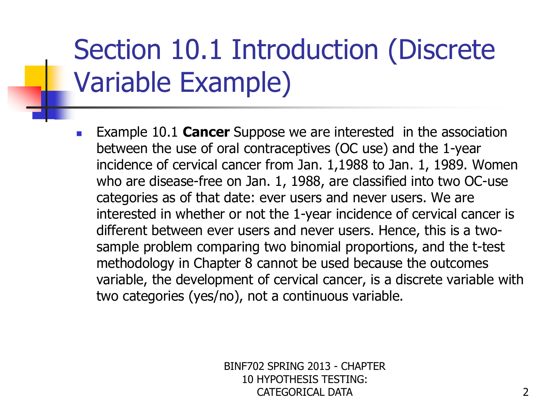## Section 10.1 Introduction (Discrete Variable Example)

**Example 10.1 Cancer** Suppose we are interested in the association between the use of oral contraceptives (OC use) and the 1-year incidence of cervical cancer from Jan. 1,1988 to Jan. 1, 1989. Women who are disease-free on Jan. 1, 1988, are classified into two OC-use categories as of that date: ever users and never users. We are interested in whether or not the 1-year incidence of cervical cancer is different between ever users and never users. Hence, this is a twosample problem comparing two binomial proportions, and the t-test methodology in Chapter 8 cannot be used because the outcomes variable, the development of cervical cancer, is a discrete variable with two categories (yes/no), not a continuous variable.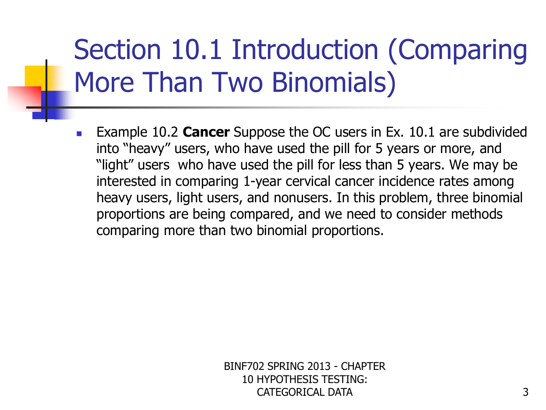# Section 10.1 Introduction (Comparing More Than Two Binomials)

**Example 10.2 Cancer** Suppose the OC users in Ex. 10.1 are subdivided into "heavy" users, who have used the pill for 5 years or more, and "light" users who have used the pill for less than 5 years. We may be interested in comparing 1-year cervical cancer incidence rates among heavy users, light users, and nonusers. In this problem, three binomial proportions are being compared, and we need to consider methods comparing more than two binomial proportions.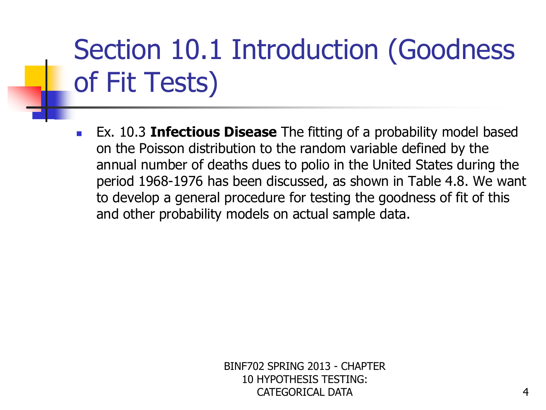# Section 10.1 Introduction (Goodness of Fit Tests)

 Ex. 10.3 **Infectious Disease** The fitting of a probability model based on the Poisson distribution to the random variable defined by the annual number of deaths dues to polio in the United States during the period 1968-1976 has been discussed, as shown in Table 4.8. We want to develop a general procedure for testing the goodness of fit of this and other probability models on actual sample data.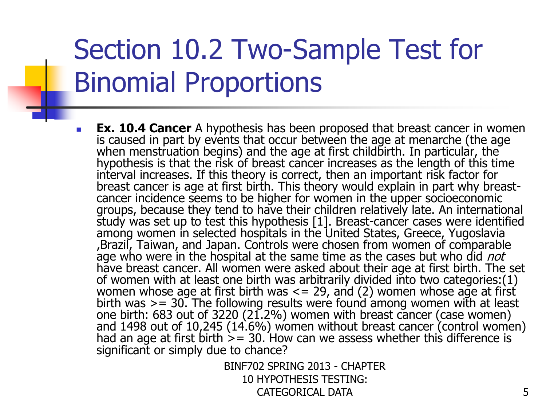## Section 10.2 Two-Sample Test for Binomial Proportions

 **Ex. 10.4 Cancer** A hypothesis has been proposed that breast cancer in women is caused in part by events that occur between the age at menarche (the age when menstruation begins) and the age at first childbirth. In particular, the hypothesis is that the risk of breast cancer increases as the length of this time interval increases. If this theory is correct, then an important risk factor for breast cancer is age at first birth. This theory would explain in part why breastcancer incidence seems to be higher for women in the upper socioeconomic groups, because they tend to have their children relatively late. An international study was set up to test this hypothesis [1]. Breast-cancer cases were identified among women in selected hospitals in the United States, Greece, Yugoslavia ,Brazil, Taiwan, and Japan. Controls were chosen from women of comparable age who were in the hospital at the same time as the cases but who did not have breast cancer. All women were asked about their age at first birth. The set of women with at least one birth was arbitrarily divided into two categories:(1) women whose age at first birth was  $\leq$  = 29, and (2) women whose age at first birth was  $>= 30$ . The following results were found among women with at least one birth: 683 out of 3220 (21.2%) women with breast cancer (case women) and 1498 out of 10,245 (14.6%) women without breast cancer (control women) had an age at first birth  $\geq$  = 30. How can we assess whether this difference is significant or simply due to chance?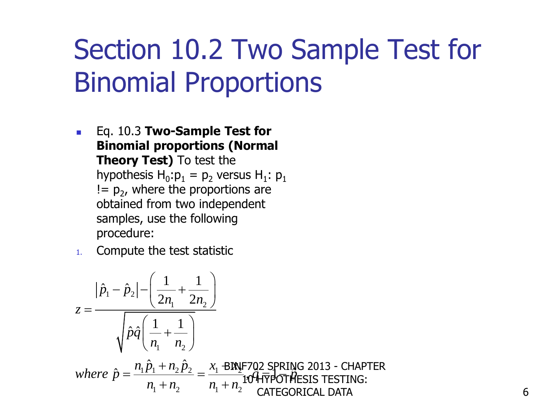## Section 10.2 Two Sample Test for Binomial Proportions

- Eq. 10.3 **Two-Sample Test for Binomial proportions (Normal Theory Test)** To test the hypothesis  $H_0: p_1 = p_2$  versus  $H_1: p_1$  $!= p_2$ , where the proportions are obtained from two independent samples, use the following procedure:
- 1. Compute the test statistic

1. Complete the test statistic  
\n
$$
z = \frac{|\hat{p}_1 - \hat{p}_2| - \left(\frac{1}{2n_1} + \frac{1}{2n_2}\right)}{\sqrt{\hat{p}\hat{q}\left(\frac{1}{n_1} + \frac{1}{n_2}\right)}}
$$
\nwhere  $\hat{p} = \frac{n_1\hat{p}_1 + n_2\hat{p}_2}{n_1 + n_2} = \frac{x_1 \text{ BINF702 SPRING 2013 - CHAPTER}}{n_1 + n_2} \text{104-FPOTHESIS TESTING:}$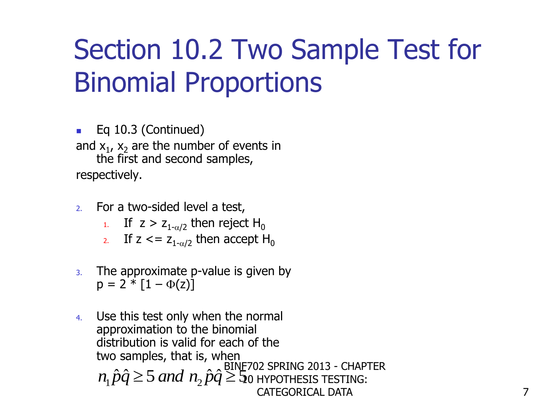## Section 10.2 Two Sample Test for Binomial Proportions

■ Eq 10.3 (Continued) and  $x_1$ ,  $x_2$  are the number of events in the first and second samples, respectively.

- 2. For a two-sided level a test,
	- 1. If  $z > z_{1-\alpha/2}$  then reject H<sub>0</sub>
	- 2. If  $z \leq z_{1-\alpha/2}$  then accept H<sub>0</sub>
- 3. The approximate p-value is given by  $p = 2 * [1 - \Phi(z)]$
- 4. Use this test only when the normal approximation to the binomial distribution is valid for each of the two samples, that is, when the samples, that is,  $\lim_{n \to \infty}$  BINE702 SPRING 2013 - CHAPTER<br>  $n_1 \hat{p}\hat{q} \ge 5$  and  $n_2 \hat{p}\hat{q} \ge 5$  o hypothesis testing:<br>
CATEGORICAL DATA 10 HYPOTHESIS TESTING: CATEGORICAL DATA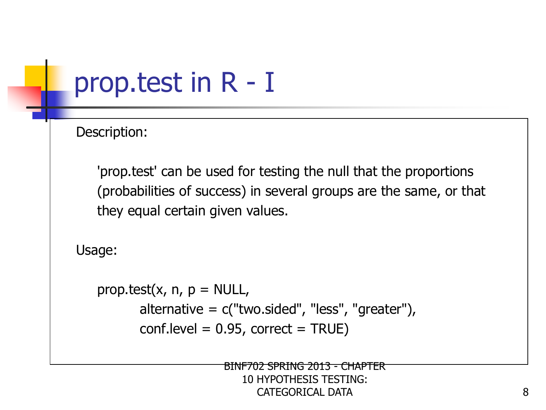## prop.test in R - I

Description:

 'prop.test' can be used for testing the null that the proportions (probabilities of success) in several groups are the same, or that they equal certain given values.

Usage:

```
prop.test(x, n, p = NULL,
        alternative = c("two.sided", "less", "greater"),
       conf. level = 0.95, correct = TRUE)
```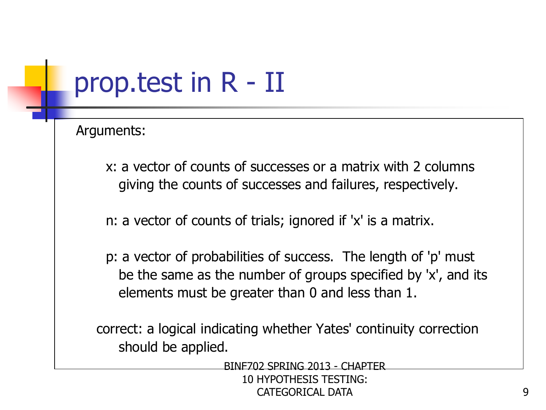## prop.test in R - II

Arguments:

- x: a vector of counts of successes or a matrix with 2 columns giving the counts of successes and failures, respectively.
- n: a vector of counts of trials; ignored if 'x' is a matrix.
- p: a vector of probabilities of success. The length of 'p' must be the same as the number of groups specified by 'x', and its elements must be greater than 0 and less than 1.

correct: a logical indicating whether Yates' continuity correction should be applied.

BINF702 SPRING 2013 - CHAPTER

10 HYPOTHESIS TESTING: CATEGORICAL DATA 9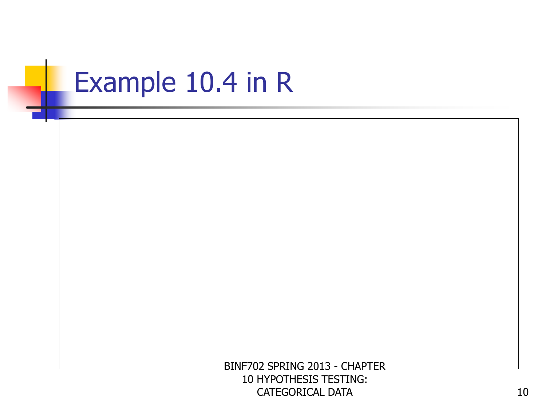## Example 10.4 in R

BINF702 SPRING 2013 - CHAPTER

10 HYPOTHESIS TESTING: CATEGORICAL DATA 10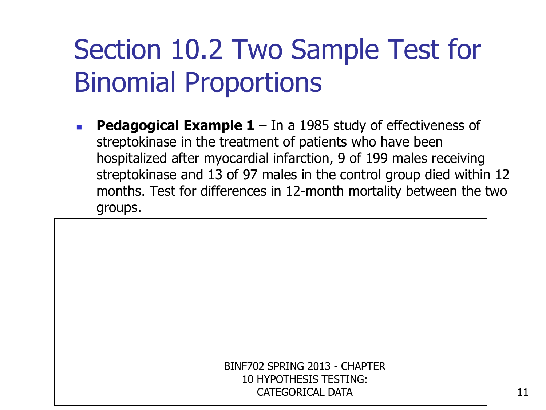## Section 10.2 Two Sample Test for Binomial Proportions

**Pedagogical Example 1** – In a 1985 study of effectiveness of streptokinase in the treatment of patients who have been hospitalized after myocardial infarction, 9 of 199 males receiving streptokinase and 13 of 97 males in the control group died within 12 months. Test for differences in 12-month mortality between the two groups.

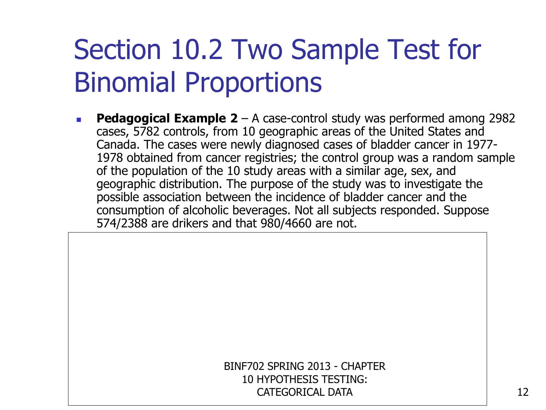## Section 10.2 Two Sample Test for Binomial Proportions

**Pedagogical Example 2** – A case-control study was performed among 2982 cases, 5782 controls, from 10 geographic areas of the United States and Canada. The cases were newly diagnosed cases of bladder cancer in 1977- 1978 obtained from cancer registries; the control group was a random sample of the population of the 10 study areas with a similar age, sex, and geographic distribution. The purpose of the study was to investigate the possible association between the incidence of bladder cancer and the consumption of alcoholic beverages. Not all subjects responded. Suppose 574/2388 are drikers and that 980/4660 are not.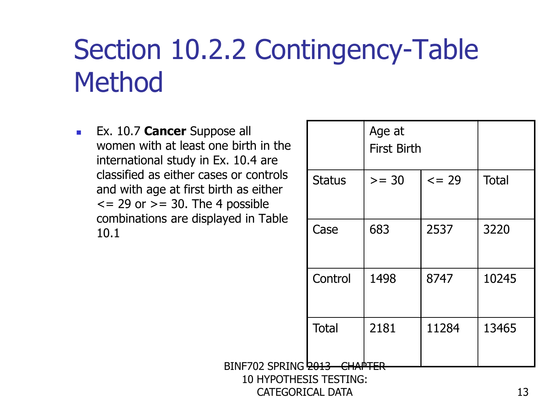**Ex. 10.7 Cancer** Suppose all women with at least one birth in the international study in Ex. 10.4 are classified as either cases or controls and with age at first birth as either  $\epsilon$  = 29 or  $\epsilon$  = 30. The 4 possible combinations are displayed in Table 10.1

|               | Age at<br><b>First Birth</b> |        |              |  |
|---------------|------------------------------|--------|--------------|--|
| <b>Status</b> | $>= 30$                      | $= 29$ | <b>Total</b> |  |
| Case          | 683                          | 2537   | 3220         |  |
| Control       | 1498                         | 8747   | 10245        |  |
| <b>Total</b>  | 2181                         | 11284  | 13465        |  |
|               |                              |        |              |  |

10 HYPOTHESIS TESTING: CATEGORICAL DATA

 $BINF702$  SPRING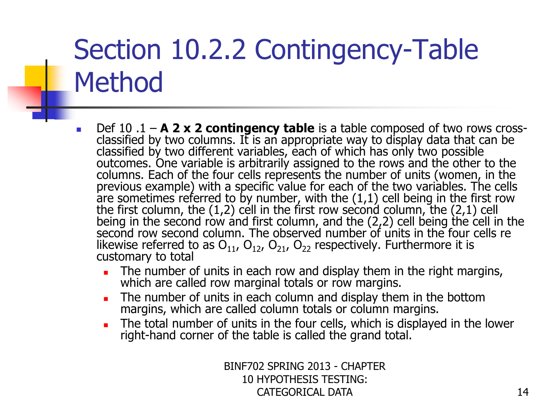- Def 10 .1 **A 2 x 2 contingency table** is a table composed of two rows crossclassified by two columns. It is an appropriate way to display data that can be classified by two different variables, each of which has only two possible outcomes. One variable is arbitrarily assigned to the rows and the other to the columns. Each of the four cells represents the number of units (women, in the previous example) with a specific value for each of the two variables. The cells are sometimes referred to by number, with the (1,1) cell being in the first row the first column, the (1,2) cell in the first row second column, the (2,1) cell being in the second row and first column, and the (2,2) cell being the cell in the second row second column. The observed number of units in the four cells re likewise referred to as  $O_{11}$ ,  $O_{12}$ ,  $O_{21}$ ,  $O_{22}$  respectively. Furthermore it is customary to total
	- The number of units in each row and display them in the right margins, which are called row marginal totals or row margins.
	- The number of units in each column and display them in the bottom margins, which are called column totals or column margins.
	- The total number of units in the four cells, which is displayed in the lower right-hand corner of the table is called the grand total.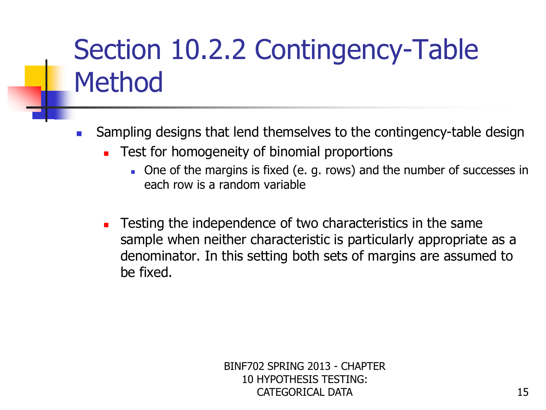- **Sampling designs that lend themselves to the contingency-table design** 
	- **Test for homogeneity of binomial proportions** 
		- One of the margins is fixed (e. g. rows) and the number of successes in each row is a random variable
	- **EXECUTE:** Testing the independence of two characteristics in the same sample when neither characteristic is particularly appropriate as a denominator. In this setting both sets of margins are assumed to be fixed.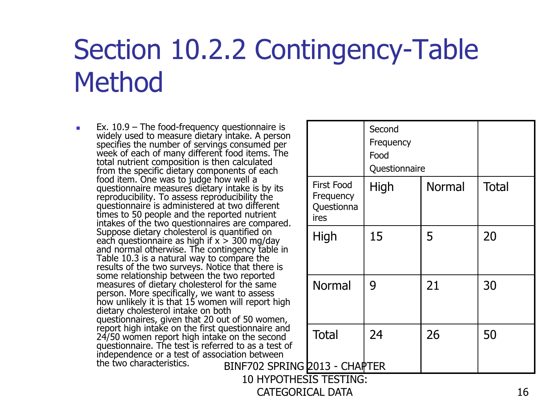CATEGORICAL DATA

 $\blacksquare$  Ex. 10.9 – The food-frequency questionnaire is widely used to measure dietary intake. A person specifies the number of servings consumed per week of each of many different food items. The total nutrient composition is then calculated from the specific dietary components of each food item. One was to judge how well a questionnaire measures dietary intake is by its reproducibility. To assess reproducibility the questionnaire is administered at two different times to 50 people and the reported nutrient intakes of the two questionnaires are compared. Suppose dietary cholesterol is quantified on each questionnaire as high if  $x > 300$  mg/day and normal otherwise. The contingency table in Table 10.3 is a natural way to compare the results of the two surveys. Notice that there is some relationship between the two reported measures of dietary cholesterol for the same person. More specifically, we want to assess how unlikely it is that 15 women will report high dietary cholesterol intake on both questionnaires, given that 20 out of 50 women, report high intake on the first questionnaire and 24/50 women report high intake on the second questionnaire. The test is referred to as a test of independence or a test of association between the two characteristics. BINF702 SPRING

| tionnaire is<br>ke. A person<br>nsumed per<br>d items. The<br>Iculated<br>s of each                                    |                                               | Second<br>Frequency<br>Food<br>Questionnaire |               |              |  |
|------------------------------------------------------------------------------------------------------------------------|-----------------------------------------------|----------------------------------------------|---------------|--------------|--|
| ell a<br>ke is by its<br>pility the<br>າ different<br>nutrient<br>e compared.                                          | First Food<br>Frequency<br>Questionna<br>ires | High                                         | <b>Normal</b> | <b>Total</b> |  |
| tified on:<br>0 mg/day<br>ncy table in:<br>aré the<br>at there is<br>reported<br>the same<br>o assess<br>I report high | High                                          | 15                                           | 5             | 20           |  |
|                                                                                                                        | <b>Normal</b>                                 | 9                                            | 21            | 30           |  |
| 50 women,<br>ionnaire and<br>the second<br>o as a test of<br>n between                                                 | <b>Total</b>                                  | 24                                           | 26            | 50           |  |
| F702 SPRING 2013 - CHAPTER                                                                                             |                                               |                                              |               |              |  |
| <b>10 HYPOTHESIS TESTING:</b>                                                                                          |                                               |                                              |               |              |  |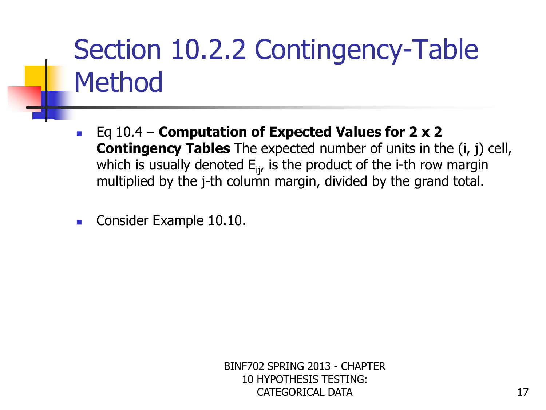- Eq 10.4 **Computation of Expected Values for 2 x 2 Contingency Tables** The expected number of units in the (i, j) cell, which is usually denoted  $E_{ij}$ , is the product of the i-th row margin multiplied by the j-th column margin, divided by the grand total.
- Consider Example 10.10.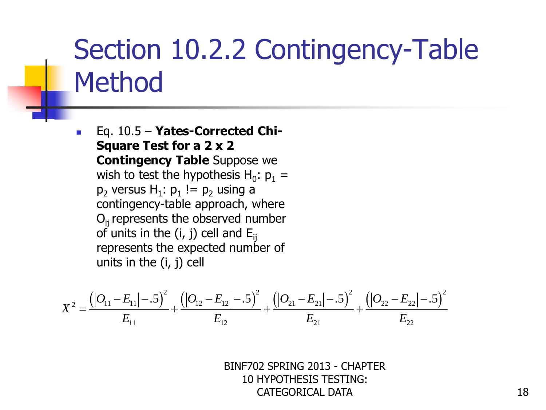Eq. 10.5 – **Yates-Corrected Chi-Square Test for a 2 x 2 Contingency Table** Suppose we wish to test the hypothesis H $_0: p_1 =$  $p_2$  versus  $H_1$ :  $p_1$ ! =  $p_2$  using a contingency-table approach, where  $O<sub>ii</sub>$  represents the observed number of units in the (i, j) cell and  $E_{ii}$ represents the expected number of units in the (i, j) cell

represents the expected number of  
units in the (i, j) cell  

$$
X^2 = \frac{((O_{11} - E_{11}|- .5)^2}{E_{11}} + \frac{((O_{12} - E_{12}|- .5)^2}{E_{12}} + \frac{((O_{21} - E_{21}|- .5)^2}{E_{21}} + \frac{((O_{22} - E_{22}|- .5)^2}{E_{22}})
$$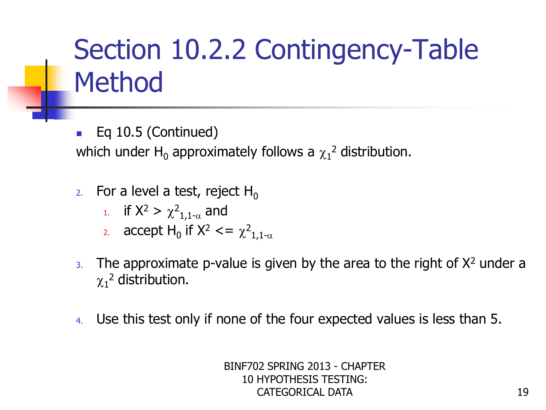Eq 10.5 (Continued) which under  $H_0$  approximately follows a  $\chi_1{}^2$  distribution.

- 2. For a level a test, reject  $H_0$ 
	- <sup>1</sup>. if  $X^2 > \chi^2_{1,1-\alpha}$  and
	- 2. accept  $H_0$  if  $X^2 \leq x^2$  $1,1-\alpha$
- $3.$  The approximate p-value is given by the area to the right of  $X<sup>2</sup>$  under a  $\chi_1^2$  distribution.
- 4. Use this test only if none of the four expected values is less than 5.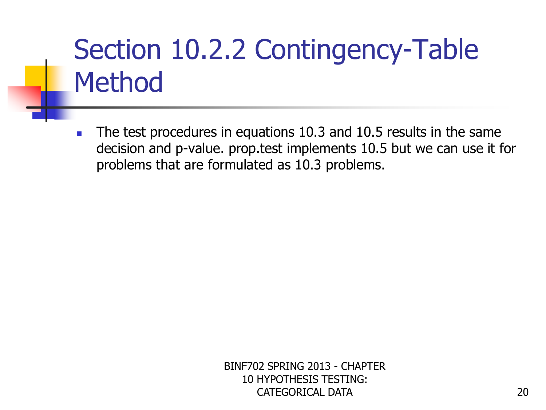The test procedures in equations 10.3 and 10.5 results in the same decision and p-value. prop.test implements 10.5 but we can use it for problems that are formulated as 10.3 problems.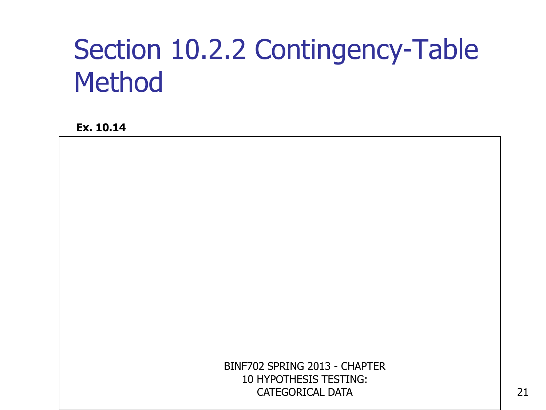**Ex. 10.14**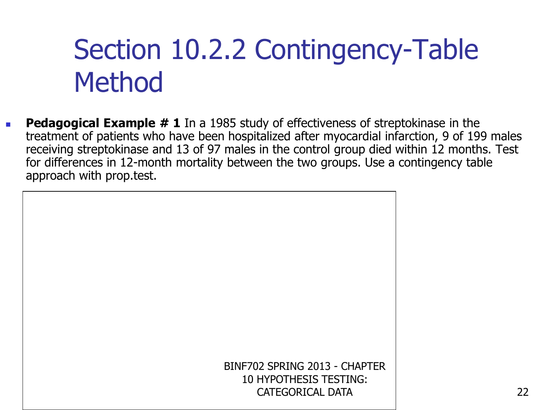**Pedagogical Example # 1** In a 1985 study of effectiveness of streptokinase in the treatment of patients who have been hospitalized after myocardial infarction, 9 of 199 males receiving streptokinase and 13 of 97 males in the control group died within 12 months. Test for differences in 12-month mortality between the two groups. Use a contingency table approach with prop.test.

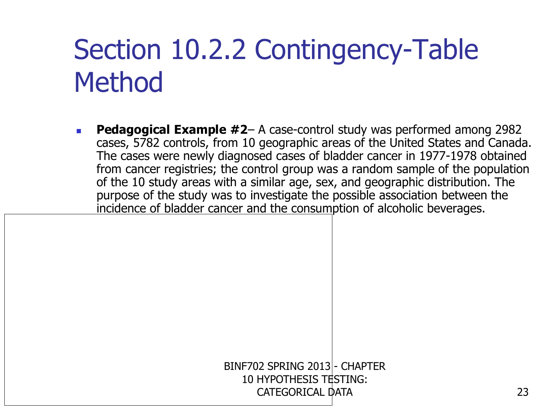**Pedagogical Example #2**– A case-control study was performed among 2982 cases, 5782 controls, from 10 geographic areas of the United States and Canada. The cases were newly diagnosed cases of bladder cancer in 1977-1978 obtained from cancer registries; the control group was a random sample of the population of the 10 study areas with a similar age, sex, and geographic distribution. The purpose of the study was to investigate the possible association between the incidence of bladder cancer and the consumption of alcoholic beverages.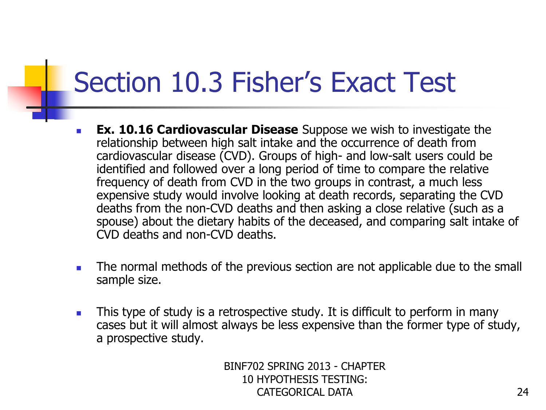- **Ex. 10.16 Cardiovascular Disease** Suppose we wish to investigate the relationship between high salt intake and the occurrence of death from cardiovascular disease (CVD). Groups of high- and low-salt users could be identified and followed over a long period of time to compare the relative frequency of death from CVD in the two groups in contrast, a much less expensive study would involve looking at death records, separating the CVD deaths from the non-CVD deaths and then asking a close relative (such as a spouse) about the dietary habits of the deceased, and comparing salt intake of CVD deaths and non-CVD deaths.
- The normal methods of the previous section are not applicable due to the small sample size.
- **This type of study is a retrospective study. It is difficult to perform in many** cases but it will almost always be less expensive than the former type of study, a prospective study.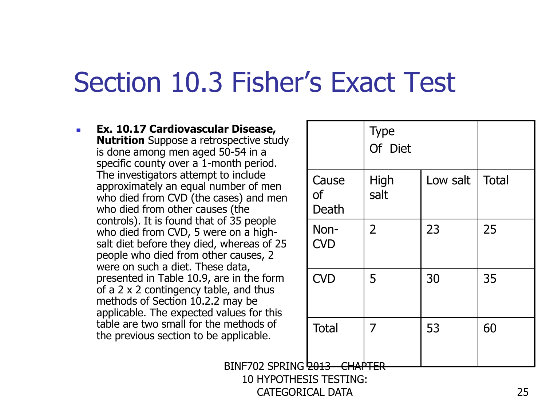**Ex. 10.17 Cardiovascular Disease, Nutrition** Suppose a retrospective study is done among men aged 50-54 in a specific county over a 1-month period. The investigators attempt to include approximately an equal number of men who died from CVD (the cases) and men who died from other causes (the controls). It is found that of 35 people who died from CVD, 5 were on a highsalt diet before they died, whereas of 25 people who died from other causes, 2 were on such a diet. These data, presented in Table 10.9, are in the form of a 2 x 2 contingency table, and thus methods of Section 10.2.2 may be applicable. The expected values for this table are two small for the methods of the previous section to be applicable.

|                      | <b>Type</b><br>Of Diet |          |              |
|----------------------|------------------------|----------|--------------|
| Cause<br>of<br>Death | High<br>salt           | Low salt | <b>Total</b> |
| Non-<br><b>CVD</b>   | $\overline{2}$         | 23       | 25           |
| <b>CVD</b>           | 5                      | 30       | 35           |
| <b>Total</b>         | 7                      | 53       | 60           |

BINF702 SPRING 2013 10 HYPOTHESIS TESTING:

CATEGORICAL DATA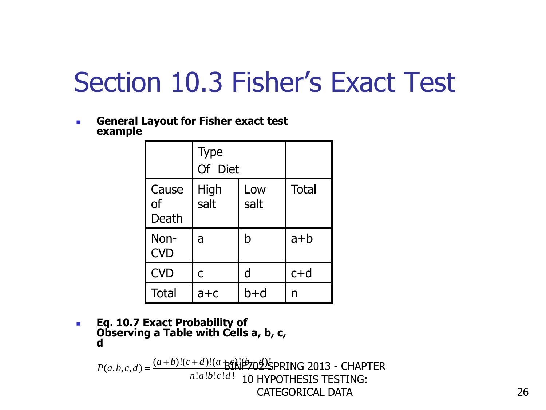**General Layout for Fisher exact test example**

|                             | <b>Type</b><br>Of Diet |             |              |
|-----------------------------|------------------------|-------------|--------------|
| Cause<br><b>of</b><br>Death | High<br>salt           | Low<br>salt | <b>Total</b> |
| Non-<br><b>CVD</b>          | a                      | b           | $a+b$        |
| <b>CVD</b>                  | C                      | d           | $c+d$        |
| <b>Total</b>                | $a + c$                | h+d         | n            |

 **Eq. 10.7 Exact Probability of Observing a Table with Cells a, b, c, d**

 $(a, b, c, d) = \frac{(a+b)!(c+d)!(a+b)}{n!a!b!c!d!}$  $\frac{d}{d}$ !  $(a + b)c$ <br>!  $d!$ **d**<br> $P(a,b,c,d) = \frac{(a+b)!(c+d)!(a+b)}{a!a!b!c!d!}$  $\frac{a+b}{a!a!b!c!d}$  $=\frac{(a+b)!(c+d)!(a+b)}{2}$ \$PRING 2013 - CHAPTER 10 HYPOTHESIS TESTING: CATEGORICAL DATA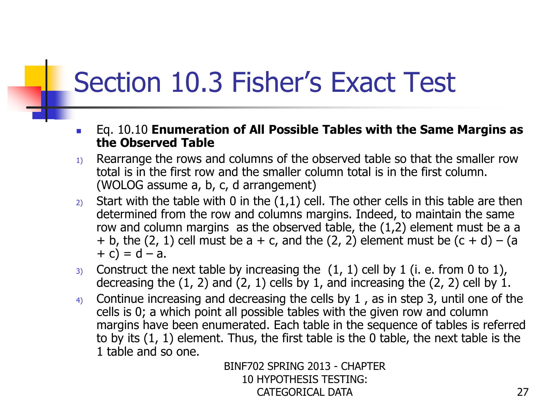- Eq. 10.10 **Enumeration of All Possible Tables with the Same Margins as the Observed Table**
- $1)$  Rearrange the rows and columns of the observed table so that the smaller row total is in the first row and the smaller column total is in the first column. (WOLOG assume a, b, c, d arrangement)
- 2) Start with the table with 0 in the  $(1,1)$  cell. The other cells in this table are then determined from the row and columns margins. Indeed, to maintain the same row and column margins as the observed table, the (1,2) element must be a a + b, the  $(2, 1)$  cell must be a + c, and the  $(2, 2)$  element must be  $(c + d) - (a)$  $+ c$ ) = d – a.
- 3) Construct the next table by increasing the  $(1, 1)$  cell by 1 (i. e. from 0 to 1), decreasing the  $(1, 2)$  and  $(2, 1)$  cells by 1, and increasing the  $(2, 2)$  cell by 1.
- 4) Continue increasing and decreasing the cells by 1 , as in step 3, until one of the cells is 0; a which point all possible tables with the given row and column margins have been enumerated. Each table in the sequence of tables is referred to by its (1, 1) element. Thus, the first table is the 0 table, the next table is the 1 table and so one.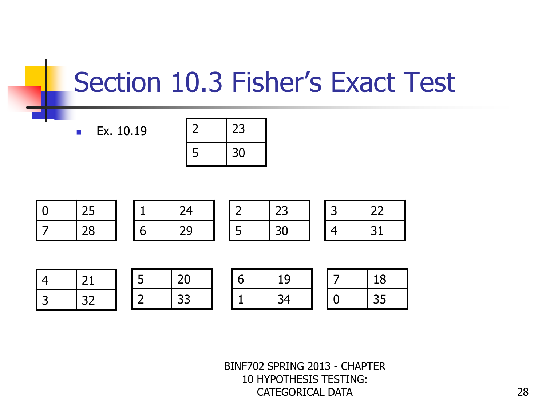$E$ **Ex.** 10.19

| $\overline{2}$ | 23 |
|----------------|----|
| 5              | 30 |

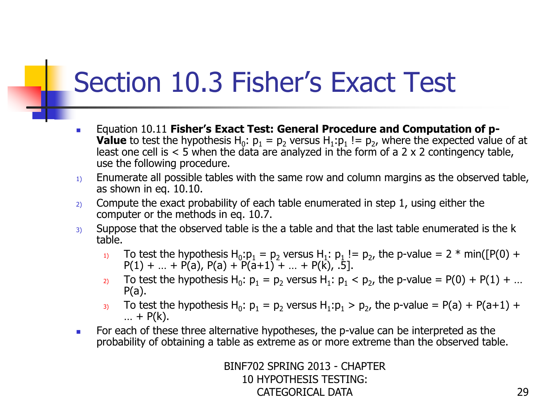- Equation 10.11 **Fisher's Exact Test: General Procedure and Computation of p-Value** to test the hypothesis  $H_0$ :  $p_1 = p_2$  versus  $H_1$ :  $p_1$  !=  $p_2$ , where the expected value of at least one cell is  $< 5$  when the data are analyzed in the form of a 2 x 2 contingency table, use the following procedure.
- $1)$  Enumerate all possible tables with the same row and column margins as the observed table, as shown in eq. 10.10.
- $2)$  Compute the exact probability of each table enumerated in step 1, using either the computer or the methods in eq. 10.7.
- $3)$  Suppose that the observed table is the a table and that the last table enumerated is the k table.
	- 1) To test the hypothesis  $H_0: p_1 = p_2$  versus  $H_1: p_1 := p_2$ , the p-value = 2  $*$  min([P(0) +  $P(1) + ... + P(a), P(a) + P(a+1) + ... + P(k), .5].$
	- 2) To test the hypothesis  $H_0$ :  $p_1 = p_2$  versus  $H_1$ :  $p_1 < p_2$ , the p-value = P(0) + P(1) + ...  $P(a)$ .
	- 3) To test the hypothesis  $H_0$ :  $p_1 = p_2$  versus  $H_1$ : $p_1 > p_2$ , the p-value = P(a) + P(a+1) +  $... + P(k).$
- **For each of these three alternative hypotheses, the p-value can be interpreted as the** probability of obtaining a table as extreme as or more extreme than the observed table.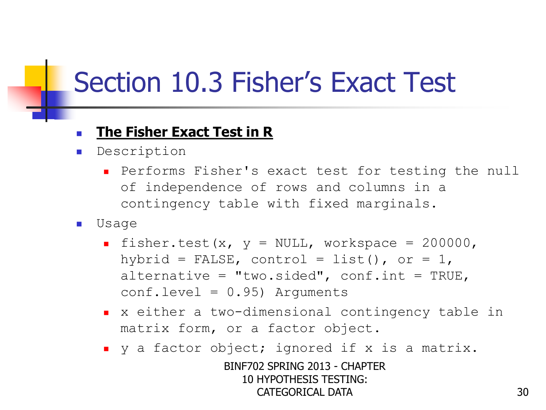#### **The Fisher Exact Test in R**

- **Description** 
	- Performs Fisher's exact test for testing the null of independence of rows and columns in a contingency table with fixed marginals.
- Usage
	- fisher.test(x,  $y = NULL$ , workspace = 200000, hybrid = FALSE, control = list(), or =  $1$ , alternative = "two.sided",  $conf.int = TRUE,$  $conf.level = 0.95)$  Arguments
	- x either a two-dimensional contingency table in matrix form, or a factor object.
	- v a factor object; ignored if x is a matrix.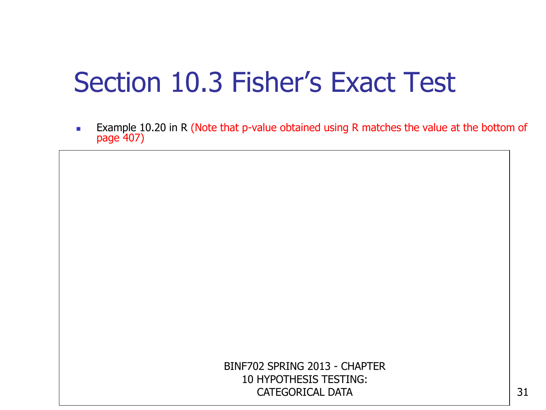**Example 10.20 in R (Note that p-value obtained using R matches the value at the bottom of** page 407)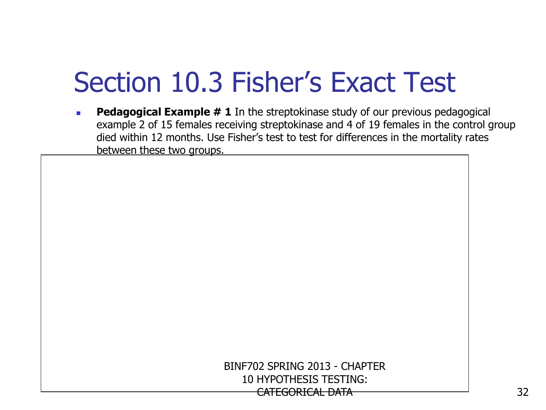**Pedagogical Example # 1** In the streptokinase study of our previous pedagogical example 2 of 15 females receiving streptokinase and 4 of 19 females in the control group died within 12 months. Use Fisher's test to test for differences in the mortality rates between these two groups.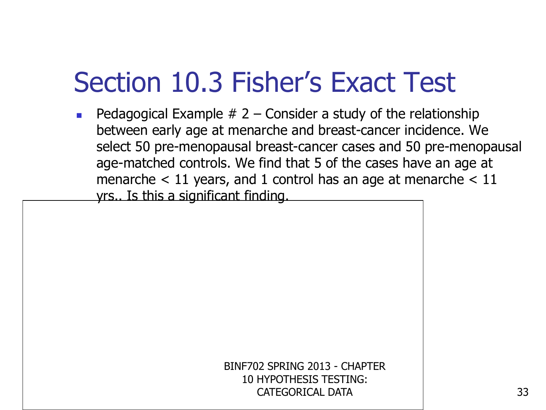**Pedagogical Example # 2 – Consider a study of the relationship** between early age at menarche and breast-cancer incidence. We select 50 pre-menopausal breast-cancer cases and 50 pre-menopausal age-matched controls. We find that 5 of the cases have an age at menarche  $<$  11 years, and 1 control has an age at menarche  $<$  11 yrs.. Is this a significant finding.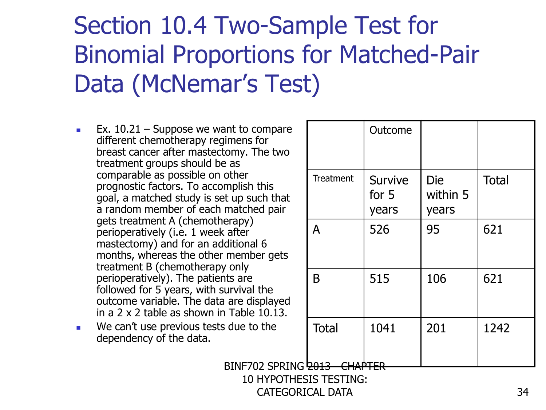- **Ex.** 10.21 Suppose we want to compare different chemotherapy regimens for breast cancer after mastectomy. The two treatment groups should be as comparable as possible on other prognostic factors. To accomplish this goal, a matched study is set up such that a random member of each matched pair gets treatment A (chemotherapy) perioperatively (i.e. 1 week after mastectomy) and for an additional 6 months, whereas the other member gets treatment B (chemotherapy only perioperatively). The patients are followed for 5 years, with survival the outcome variable. The data are displayed in a 2 x 2 table as shown in Table 10.13.
- **We can't use previous tests due to the** dependency of the data.

|                  | Outcome                            |                                 |              |
|------------------|------------------------------------|---------------------------------|--------------|
| <b>Treatment</b> | <b>Survive</b><br>for $5$<br>years | <b>Die</b><br>within 5<br>years | <b>Total</b> |
| A                | 526                                | 95                              | 621          |
| B                | 515                                | 106                             | 621          |
| <b>Total</b>     | 1041                               | 201                             | 1242         |

BINF702 SPRING 2013 CHAPTER

#### 10 HYPOTHESIS TESTING: CATEGORICAL DATA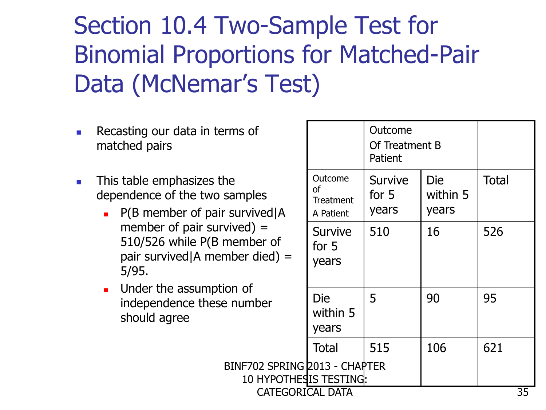- **Recasting our data in terms of** matched pairs
- $\blacksquare$  This table emphasizes the dependence of the two samples
	- $\blacksquare$  P(B member of pair survived) A member of pair survived) = 510/526 while P(B member of pair survived|A member died) = 5/95.
	- **Under the assumption of** independence these number should agree

| rms of                                                   |                                                | Outcome<br>Of Treatment B<br>Patient |                          |              |  |
|----------------------------------------------------------|------------------------------------------------|--------------------------------------|--------------------------|--------------|--|
| he<br>samples<br>survived   A                            | Outcome<br>οf<br><b>Treatment</b><br>A Patient | <b>Survive</b><br>for $5$<br>years   | Die<br>within 5<br>years | <b>Total</b> |  |
| $viewed) =$<br>member of<br>mber died) =                 | <b>Survive</b><br>for $5$<br>years             | 510                                  | 16                       | 526          |  |
| ion of<br>e number                                       | Die<br>within 5<br>years                       | 5                                    | 90                       | 95           |  |
|                                                          | <b>Total</b>                                   | 515                                  | 106                      | 621          |  |
| BINF702 SPRING 2013 - CHAPTER<br>10 HYPOTHES IS TESTING: |                                                |                                      |                          |              |  |
| CATEGORICAL DATA<br>35                                   |                                                |                                      |                          |              |  |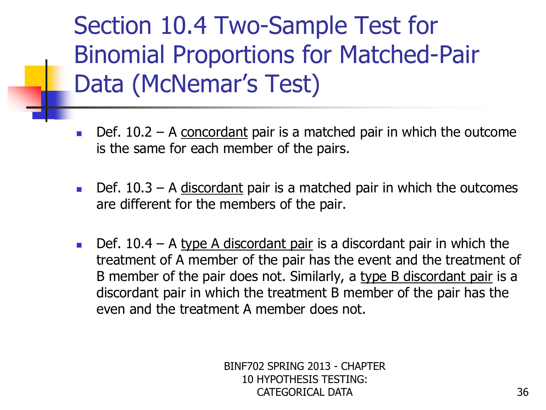- **Def.** 10.2 A concordant pair is a matched pair in which the outcome is the same for each member of the pairs.
- $\blacksquare$  Def. 10.3 A discordant pair is a matched pair in which the outcomes are different for the members of the pair.
- Def. 10.4 A type A discordant pair is a discordant pair in which the treatment of A member of the pair has the event and the treatment of B member of the pair does not. Similarly, a type B discordant pair is a discordant pair in which the treatment B member of the pair has the even and the treatment A member does not.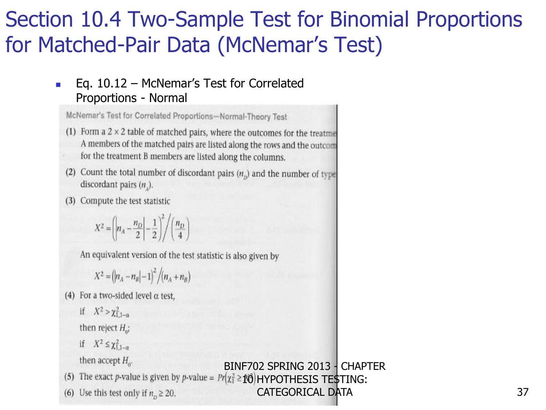#### Eq. 10.12 – McNemar's Test for Correlated Proportions - Normal

McNemar's Test for Correlated Proportions-Normal-Theory Test

- (1) Form a  $2 \times 2$  table of matched pairs, where the outcomes for the treatme A members of the matched pairs are listed along the rows and the outcom for the treatment B members are listed along the columns.
- (2) Count the total number of discordant pairs  $(n_n)$  and the number of type discordant pairs  $(n_$ ).
- (3) Compute the test statistic

$$
X^2 = \left(\left| n_A - \frac{n_D}{2} \right| - \frac{1}{2} \right)^2 / \left( \frac{n_D}{4} \right)
$$

An equivalent version of the test statistic is also given by

$$
X^{2} = (n_{A} - n_{B}|-1)^{2} / (n_{A} + n_{B})
$$

(4) For a two-sided level  $\alpha$  test,

if 
$$
X^2 > \chi_{1,1-\alpha}^2
$$
  
then reject  $H_0$ ;  
if  $X^2 \le \chi_{1,1-\alpha}^2$ 

then accept  $H_{\alpha}$ .

(5) The exact p-value is given by p-value =  $Pr(\chi_1^2 \geq 10)$  HYPOTHESIS TE\$TING:

BINF702 SPRING 2013 - CHAPTER

CATEGORICAL DATA

(6) Use this test only if  $n_0 \ge 20$ .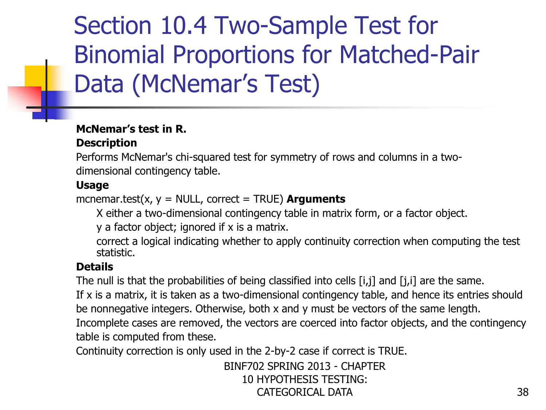#### **McNemar's test in R. Description**

Performs McNemar's chi-squared test for symmetry of rows and columns in a twodimensional contingency table.

#### **Usage**

mcnemar.test(x,  $y = NULL$ , correct = TRUE) **Arguments** 

X either a two-dimensional contingency table in matrix form, or a factor object.

y a factor object; ignored if x is a matrix.

correct a logical indicating whether to apply continuity correction when computing the test statistic.

#### **Details**

The null is that the probabilities of being classified into cells [i,j] and [j,i] are the same.

If x is a matrix, it is taken as a two-dimensional contingency table, and hence its entries should be nonnegative integers. Otherwise, both x and y must be vectors of the same length.

Incomplete cases are removed, the vectors are coerced into factor objects, and the contingency table is computed from these.

Continuity correction is only used in the 2-by-2 case if correct is TRUE.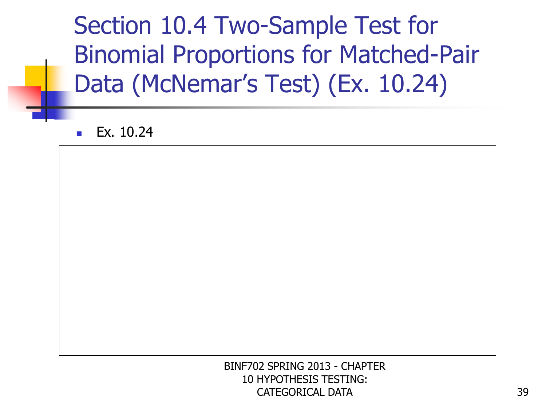Ex. 10.24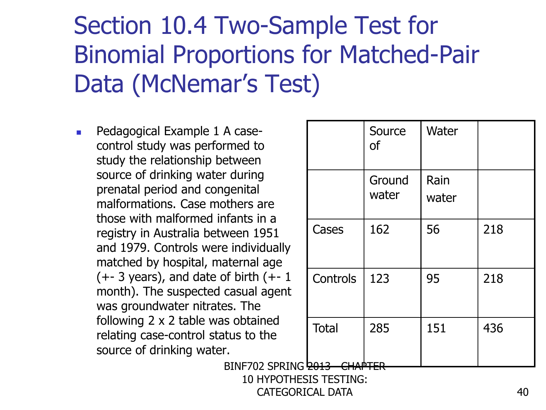Pedagogical Example 1 A casecontrol study was performed to study the relationship between source of drinking water during prenatal period and congenital malformations. Case mothers are those with malformed infants in a registry in Australia between 1951 and 1979. Controls were individually matched by hospital, maternal age  $(+-3 \text{ years})$ , and date of birth  $(+-1)$ month). The suspected casual agent was groundwater nitrates. The following 2 x 2 table was obtained relating case-control status to the source of drinking water.

|                        | Source<br><b>of</b> | Water         |     |
|------------------------|---------------------|---------------|-----|
|                        | Ground<br>water     | Rain<br>water |     |
| Cases                  | 162                 | 56            | 218 |
| Controls               | 123                 | 95            | 218 |
| <b>Total</b><br>: bots | 285                 | 151           | 436 |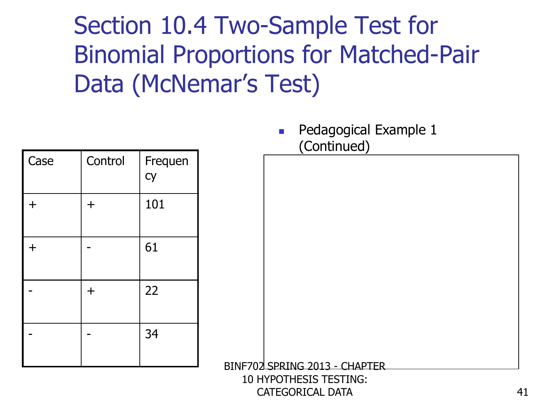| Case    | Control | Frequen<br>Cy |
|---------|---------|---------------|
| $\ddag$ | $\pm$   | 101           |
| $\pm$   |         | 61            |
|         | $\pm$   | 22            |
|         |         | 34            |

**Pedagogical Example 1** (Continued)

BINF702 SPRING 2013 - CHAPTER

10 HYPOTHESIS TESTING: CATEGORICAL DATA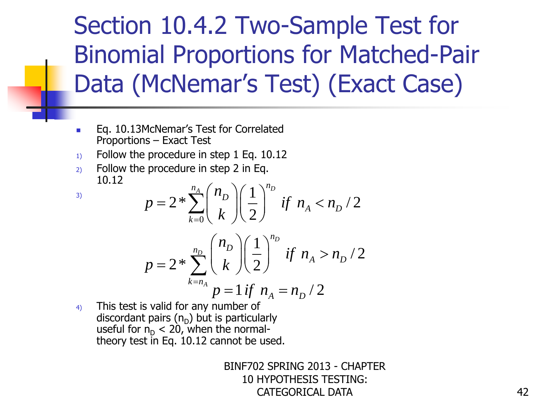- **Eq. 10.13McNemar's Test for Correlated** Proportions – Exact Test
- $1)$  Follow the procedure in step 1 Eq. 10.12
- 2) Follow the procedure in step 2 in Eq.<br>  $10.12$ <br>  $n = 2 * \sum_{n=1}^{n_A} {n_B \choose n} \left(\frac{1}{n}\right)^{n_B}$ 10.12

3)

$$
p = 2 * \sum_{k=0}^{n_A} {n_D \choose k} \left(\frac{1}{2}\right)^{n_D} \text{ if } n_A < n_D / 2
$$

$$
k=0 \quad \text{A} \quad f \, (2)
$$
\n
$$
p = 2 * \sum_{k=n_A}^{n_D} \binom{n_D}{k} \left(\frac{1}{2}\right)^{n_D} \text{ if } n_A > n_D / 2
$$
\n
$$
p = 1 \text{ if } n_A = n_D / 2
$$

4) This test is valid for any number of discordant pairs  $(n_{\text{D}})$  but is particularly useful for  $n_D < 20$ , when the normaltheory test in Eq. 10.12 cannot be used.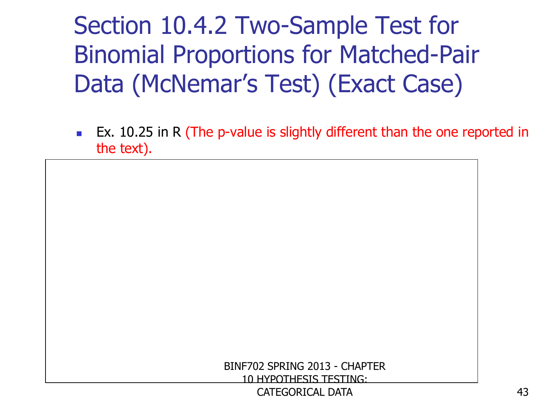**EX.** 10.25 in R (The p-value is slightly different than the one reported in the text).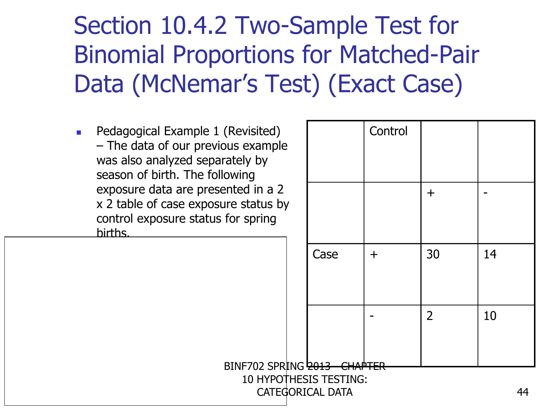CATEGORICAL DATA

 Pedagogical Example 1 (Revisited) – The data of our previous example was also analyzed separately by season of birth. The following exposure data are presented in a 2 x 2 table of case exposure status by control exposure status for spring births.

| (Revisited)<br>ous example<br>rately by<br>owing |                               | Control |                |    |
|--------------------------------------------------|-------------------------------|---------|----------------|----|
| ented in a 2<br>ure status by<br>for spring      |                               |         | $\pm$          |    |
|                                                  | Case                          | $\pm$   | 30             | 14 |
|                                                  |                               |         | $\overline{2}$ | 10 |
| BINF702 SPRING 2013                              | <b>10 HYPOTHESIS TESTING:</b> |         |                |    |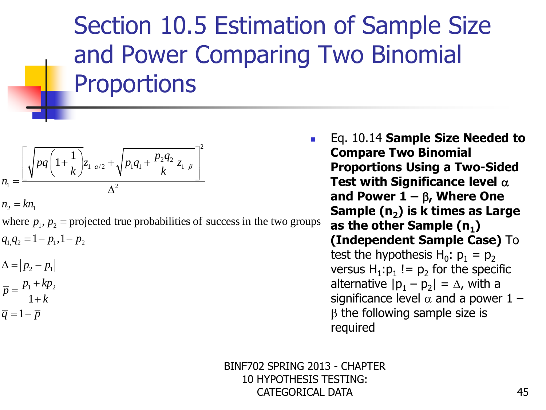### Section 10.5 Estimation of Sample Size and Power Comparing Two Binomial **Proportions**

$$
n_{1} = \frac{\left[\sqrt{\overline{pq}\left(1 + \frac{1}{k}\right)}z_{1-a/2} + \sqrt{p_{1}q_{1} + \frac{p_{2}q_{2}}{k}z_{1-\beta}}\right]^{2}}{\Delta^{2}}
$$
  

$$
n_{2} = kn_{1}
$$

 $=$ 

 $n_1 -$ <br>  $n_2 = kn_1$ <br>
where  $p_1, p_2$  = projected true probabilities of success in the two groups  $n_2 = kn_1$ <br>where  $p_1, p_2 = \text{proj}$ <br> $q_1, q_2 = 1 - p_1, 1 - p_2$ *m*  $p_1, p_2$  proj.<br>  $q_1, q_2 = 1 - p_1, 1 - p_2$ <br>  $\Delta = |p_2 - p_1|$  $=$ kn<sub>1</sub><br>e  $p_1, p_2$  = projected tr<br>= 1 -  $p_1, 1$  -  $p_2$ 

$$
\Delta = |p_2 - p_1|
$$
  
\n
$$
\overline{p} = \frac{p_1 + kp_2}{1 + k}
$$
  
\n
$$
\overline{q} = 1 - \overline{p}
$$

 Eq. 10.14 **Sample Size Needed to Compare Two Binomial Proportions Using a Two-Sided Test with Significance level** a and Power  $\mathbf{1} - \beta$ , Where One **Sample (n<sup>2</sup> ) is k times as Large as the other Sample (n<sup>1</sup> ) (Independent Sample Case)** To test the hypothesis  $H_0$ :  $p_1 = p_2$ versus  $H_1: p_1 := p_2$  for the specific alternative  $|p_1 - p_2| = \Delta$ , with a significance level  $\alpha$  and a power 1 –  $\beta$  the following sample size is required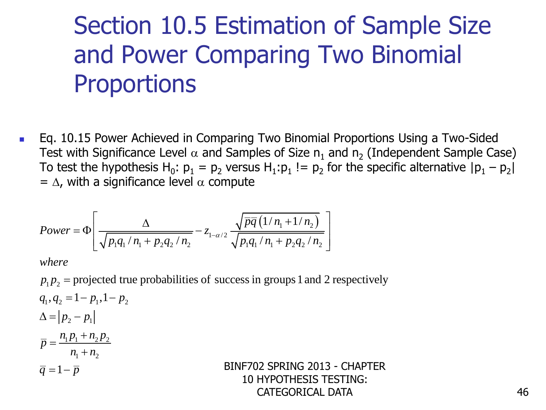## Section 10.5 Estimation of Sample Size and Power Comparing Two Binomial **Proportions**

**Eq. 10.15 Power Achieved in Comparing Two Binomial Proportions Using a Two-Sided** Test with Significance Level  $\alpha$  and Samples of Size  $\mathsf{n}_1$  and  $\mathsf{n}_2$  (Independent Sample Case) To test the hypothesis H<sub>0</sub>:  $p_1 = p_2$  versus H<sub>1</sub>: $p_1$  !=  $p_2$  for the specific alternative  $|p_1 - p_2|$ 

CATEGORICAL DATA

= 
$$
\Delta
$$
, with a significance level  $\alpha$  compute  
\n
$$
Power = \Phi \left[ \frac{\Delta}{\sqrt{p_1 q_1 / n_1 + p_2 q_2 / n_2}} - z_{1-\alpha/2} \frac{\sqrt{\overline{pq} (1 / n_1 + 1 / n_2)}}{\sqrt{p_1 q_1 / n_1 + p_2 q_2 / n_2}} \right]
$$

*where*

 $\left[\sqrt{p_1 q_1}/n_1 + p_2 q_2/n_2\right]$ <br>
where<br>  $p_1 p_2$  = projected true probabilities of success in groups 1 and 2 respectively  $q_1, q_2 = 1 - p_1, 1 - p_2$ = proj<br>=  $1 - p_1$ <br> $p_2 - p_1$  $p_2 - p_1$ <br> $p_1 + n_2 p_2$  $\frac{1}{2} + n_2$ <br> $\frac{1}{2} + n_2$ *here*<br>  $p_2$  = projecte<br>
,  $q_2$  = 1 –  $p_1$ , 1  $\overline{q} = 1 - \overline{p}$ whe<br>p<sub>1</sub> p *where*<br> $p_1 p_2$  = projected to<br> $q_1, q_2$  = 1 –  $p_1, 1$  – p  $q_1, q_2 = 1 - p_1, 1$ <br>  $\Delta = |p_2 - p_1|$ <br>  $\overline{p} = \frac{n_1 p_1 + n_2 p_1}{n_1 + n_2 p_2}$  $\frac{p_1 - p_1}{p_1 + n_1}$  $\overline{p} = \frac{n_1 p_1 +}{n_1 +}$ <br> $\overline{q} = 1 - \overline{p}$  $=$ elected true probal<br>=  $1-p_1, 1-p_2$  $p_1 p_2$  = projected true<br> $q_1, q_2$  = 1 –  $p_1, 1$  –  $p_2$ <br> $\Delta = |p_2 - p_1|$  $=$  $\ddot{}$ = $\frac{n_1 p_1 + n_2 p_2}{n_1 + n_2}$ <br>= 1 -  $\overline{p}$ BINF702 SPRING 2013 - CHAPTER 10 HYPOTHESIS TESTING: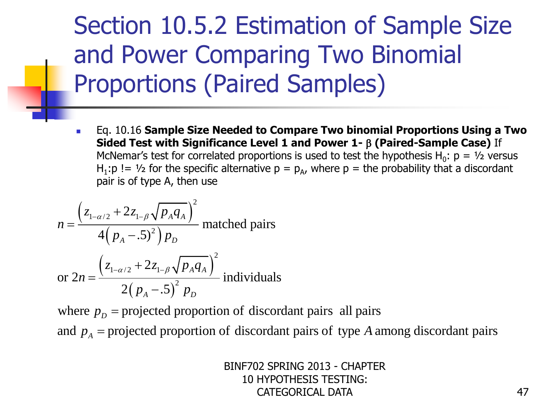### Section 10.5.2 Estimation of Sample Size and Power Comparing Two Binomial Proportions (Paired Samples)

 Eq. 10.16 **Sample Size Needed to Compare Two binomial Proportions Using a Two Sided Test with Significance Level 1 and Power 1-** b **(Paired-Sample Case)** If McNemar's test for correlated proportions is used to test the hypothesis  $H_0$ :  $p = \frac{1}{2}$  versus H<sub>1</sub>:p != 1/<sub>2</sub> for the specific alternative  $p = p_A$ , where  $p =$  the probability that a discordant pair is of type A, then use

$$
n_{\text{CIVernal}} \text{ is test for correlated proportions is used to test the} \text{H}_1: \text{p} != \frac{1}{2} \text{ for the specific alternative } \text{p} = \text{p}_A, \text{ where } \text{p} = \text{the pair is of type A, then use} \text{and} \text{p}_A = \frac{(z_{1-\alpha/2} + 2z_{1-\beta}\sqrt{p_Aq_A})^2}{4(p_A - .5)^2 p_D} \text{ matched pairs} \text{or } 2n = \frac{(z_{1-\alpha/2} + 2z_{1-\beta}\sqrt{p_Aq_A})^2}{2(p_A - .5)^2 p_D} \text{individuals} \text{and} \text{p}_A = \text{projected proportion of discordant pairs all pairs} \text{and } p_A = \text{projected proportion of discordant pairs of type A and the image.} \text{and} \text{p}_A = \text{projected proportion of discordant pairs of type A and the image.} \text{and} \text{p}_A = \text{projected proportion of discordant pairs of type A and the image.} \text{and} \text{p}_A = \text{projected proportion of discordant pairs of type A and the image.} \text{and} \text{p}_A = \text{projected proportion of discordant pairs of type A and the image.} \text{and} \text{p}_A = \text{projected proportion of discordant pairs of type A and the image.} \text{and} \text{p}_A = \text{projected proportion of discordant pairs of type A and the image.} \text{and} \text{p}_A = \text{projected proportion of discordant pairs of type A and the image.} \text{and} \text{p}_A = \text{projected proportion of discordant pairs of type A and the image.} \text{and} \text{p}_A = \text{projected proportion of discordant pairs of type A and the image.} \text{and} \text{p}_A = \text{projected proportion of discordant pairs of type A and the image.} \text{and} \text{p}_A = \text{projected proportion of discordant pairs of type A and the image.} \text{and} \text{p}_A = \text{projected proportion of discordant pairs of type A and the image.} \text{and} \text{p}_A = \text{projected proportion of discordant pairs of type A and the image.} \text{and} \text{p}_A = \text{projected proportion of discordant pairs of type A and the image.} \text{and} \text{p}_A = \text{projected proportion of discordant pairs of type A and the image.} \text{and} \text{p}_A = \text{projected proportion of discordant pairs of type A and the image.} \text{and} \text{p}_A = \
$$

 $p_p =$ 

or  $2n = \frac{2(p_A - .5)^2 p_D}{2(p_A - .5)^2 p_D}$  individuals<br>where  $p_D$  = projected proportion of discordant pairs all pairs<br>and  $p_A$  = projected proportion of discordant pairs of type A among discordant p *A*  $=$  projected proportion of discordant pairs of type  $A$  among discordant pairs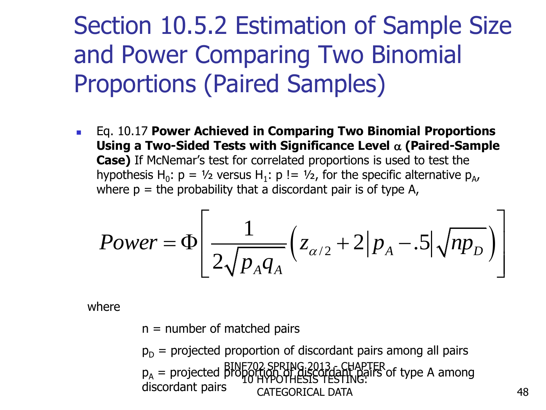### Section 10.5.2 Estimation of Sample Size and Power Comparing Two Binomial Proportions (Paired Samples)

 Eq. 10.17 **Power Achieved in Comparing Two Binomial Proportions Using a Two-Sided Tests with Significance Level** a **(Paired-Sample Case)** If McNemar's test for correlated proportions is used to test the hypothesis H<sub>0</sub>:  $p = \frac{1}{2}$  versus H<sub>1</sub>:  $p == \frac{1}{2}$ , for the specific alternative  $p_{A}$ , where  $p =$  the probability that a discordant pair is of type A,

hypothesis H<sub>0</sub>: p = 
$$
V_2
$$
 versus H<sub>1</sub>: p !=  $V_2$ , for the specific alternative p<sub>A</sub>,  
where p = the probability that a discordant pair is of type A,  

$$
Power = \Phi \left[ \frac{1}{2\sqrt{p_A q_A}} \left( z_{\alpha/2} + 2 \left| p_A - .5 \right| \sqrt{np_D} \right) \right]
$$

where

 $n =$  number of matched pairs

 $p_D$  = projected proportion of discordant pairs among all pairs p<sub>A</sub> = projected proportion of discordant pairs of type A among discordant pairs and caregorical path. 10 HYPOTHESIS TESTING: CATEGORICAL DATA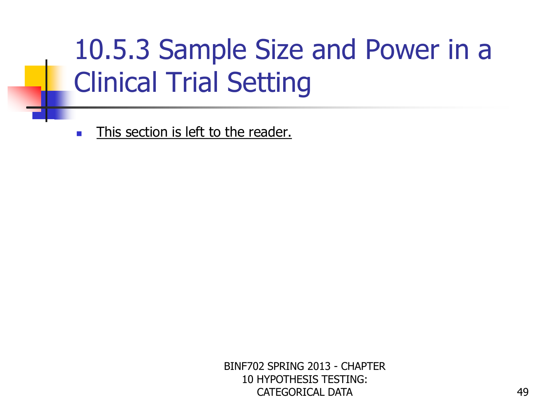# 10.5.3 Sample Size and Power in a Clinical Trial Setting

**This section is left to the reader.**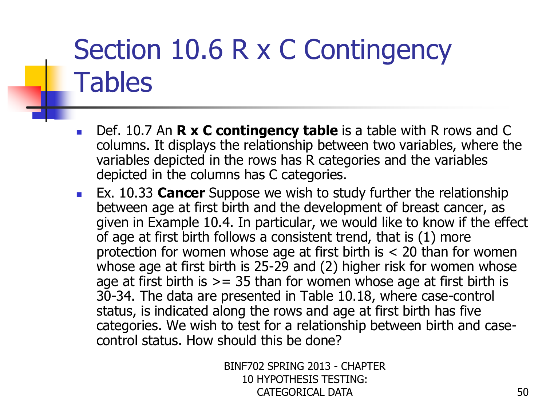- Def. 10.7 An **R x C contingency table** is a table with R rows and C columns. It displays the relationship between two variables, where the variables depicted in the rows has R categories and the variables depicted in the columns has C categories.
- Ex. 10.33 **Cancer** Suppose we wish to study further the relationship between age at first birth and the development of breast cancer, as given in Example 10.4. In particular, we would like to know if the effect of age at first birth follows a consistent trend, that is (1) more protection for women whose age at first birth is < 20 than for women whose age at first birth is 25-29 and (2) higher risk for women whose age at first birth is  $>= 35$  than for women whose age at first birth is 30-34. The data are presented in Table 10.18, where case-control status, is indicated along the rows and age at first birth has five categories. We wish to test for a relationship between birth and casecontrol status. How should this be done?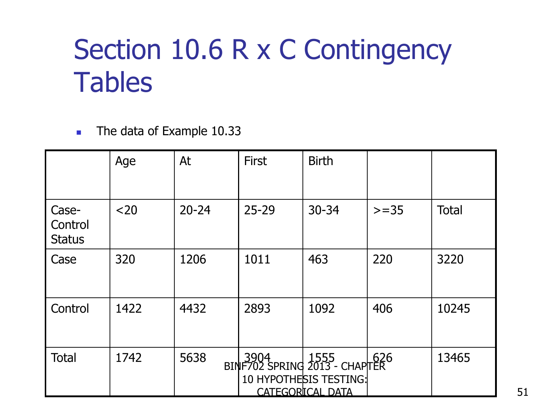The data of Example 10.33

|                                   | Age  | At        | <b>First</b> | <b>Birth</b>                                                                                             |        |              |
|-----------------------------------|------|-----------|--------------|----------------------------------------------------------------------------------------------------------|--------|--------------|
| Case-<br>Control<br><b>Status</b> | $20$ | $20 - 24$ | $25 - 29$    | 30-34                                                                                                    | $>=35$ | <b>Total</b> |
| Case                              | 320  | 1206      | 1011         | 463                                                                                                      | 220    | 3220         |
| Control                           | 1422 | 4432      | 2893         | 1092                                                                                                     | 406    | 10245        |
| <b>Total</b>                      | 1742 | 5638      |              | 3904   1555   626<br>BINF702 SPRING 2013 - CHAPITER<br>10 HYPOTHESIS TESTING:<br><b>CATEGORICAL DATA</b> |        | 13465        |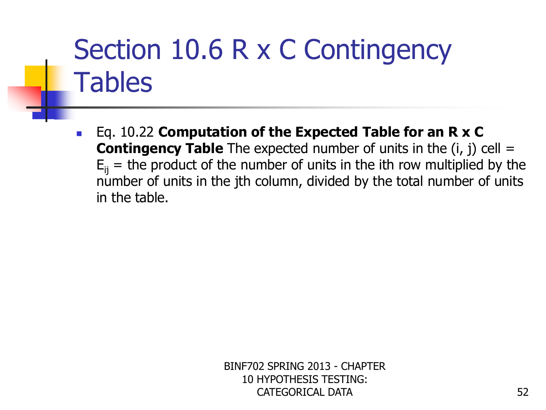■ Eq. 10.22 **Computation of the Expected Table for an R x C Contingency Table** The expected number of units in the (i, j) cell =  $E_{ii}$  = the product of the number of units in the ith row multiplied by the number of units in the jth column, divided by the total number of units in the table.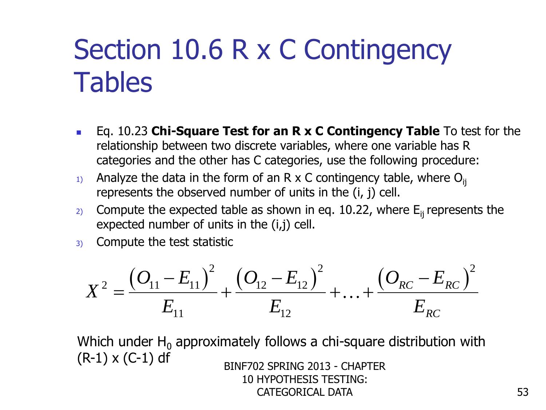- Eq. 10.23 **Chi-Square Test for an R x C Contingency Table** To test for the relationship between two discrete variables, where one variable has R categories and the other has C categories, use the following procedure:
- 1) Analyze the data in the form of an R x C contingency table, where  $O_{ii}$ represents the observed number of units in the (i, j) cell.
- 2) Compute the expected table as shown in eq. 10.22, where  $E_{ii}$  represents the expected number of units in the (i,j) cell.
- 3) Compute the test statistic

Compute the test statistic  
\n
$$
X^{2} = \frac{(O_{11} - E_{11})^{2}}{E_{11}} + \frac{(O_{12} - E_{12})^{2}}{E_{12}} + ... + \frac{(O_{RC} - E_{RC})^{2}}{E_{RC}}
$$

Which under  $H_0$  approximately follows a chi-square distribution with  $(R-1) \times (C-1)$  df BINF702 SPRING 2013 - CHAPTER 10 HYPOTHESIS TESTING: CATEGORICAL DATA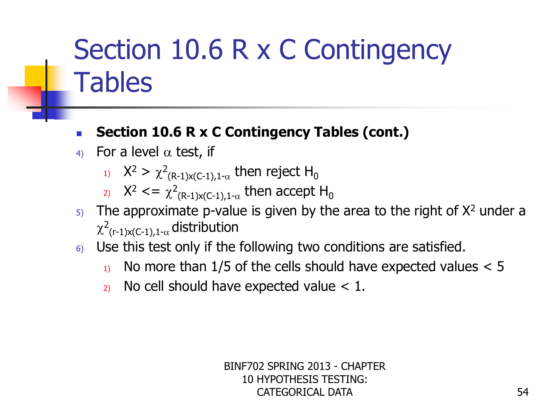#### **Section 10.6 R x C Contingency Tables (cont.)**

- 4) For a level  $\alpha$  test, if
	- 1)  $X^2 > \chi^2$  $_{\mathsf{(R\text{-}1)}$ x(C-1),1- $\alpha$  then reject H $_{0}$
	- 2)  $X^2 \leq x^2$  $_{\mathsf{(R-1)}\mathsf{x}(\mathsf{C-1}),\mathsf{1-\alpha}}$  then accept  $\mathsf{H}_{\mathsf{0}}$
- $5$ . The approximate p-value is given by the area to the right of  $X^2$  under a  $\chi^2_{\phantom{1} ( \mathsf{r-1}) \mathsf{x}(\mathsf{C-1}), 1\text{-}\alpha}$  distribution
- $6)$  Use this test only if the following two conditions are satisfied.
	- $_1$ . No more than 1/5 of the cells should have expected values  $< 5$
	- 2) No cell should have expected value  $< 1$ .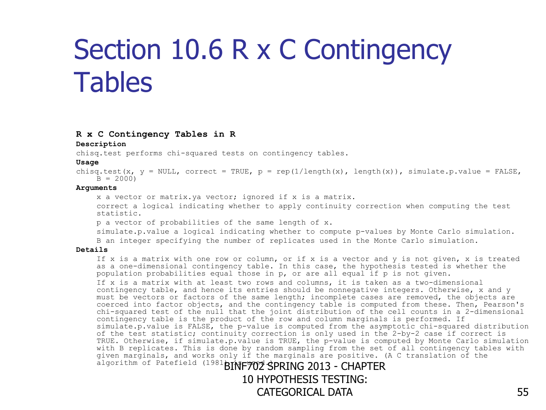#### **R x C Contingency Tables in R**

#### **Description**

chisq.test performs chi-squared tests on contingency tables.

#### **Usage**

chisq.test(x,  $y = NULL$ , correct = TRUE,  $p = rep(1/length(x))$ , length(x)), simulate.p.value = FALSE,  $B = 2000$ 

#### **Arguments**

x a vector or matrix.ya vector; ignored if x is a matrix.

correct a logical indicating whether to apply continuity correction when computing the test statistic.

p a vector of probabilities of the same length of x.

simulate.p.value a logical indicating whether to compute p-values by Monte Carlo simulation. B an integer specifying the number of replicates used in the Monte Carlo simulation.

#### **Details**

If x is a matrix with one row or column, or if x is a vector and y is not given, x is treated as a one-dimensional contingency table. In this case, the hypothesis tested is whether the population probabilities equal those in p, or are all equal if p is not given.

If x is a matrix with at least two rows and columns, it is taken as a two-dimensional contingency table, and hence its entries should be nonnegative integers. Otherwise, x and y must be vectors or factors of the same length; incomplete cases are removed, the objects are coerced into factor objects, and the contingency table is computed from these. Then, Pearson's chi-squared test of the null that the joint distribution of the cell counts in a 2-dimensional contingency table is the product of the row and column marginals is performed. If simulate.p.value is FALSE, the p-value is computed from the asymptotic chi-squared distribution of the test statistic; continuity correction is only used in the 2-by-2 case if correct is TRUE. Otherwise, if simulate.p.value is TRUE, the p-value is computed by Monte Carlo simulation with B replicates. This is done by random sampling from the set of all contingency tables with given marginals, and works only if the marginals are positive. (A C translation of the algorithm of Patefield (1981 BINF702 SPRING 2013 - CHAPTER

10 HYPOTHESIS TESTING: CATEGORICAL DATA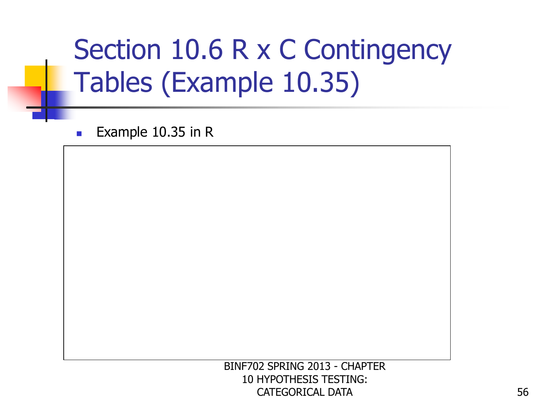# Section 10.6 R x C Contingency Tables (Example 10.35)

Example  $10.35$  in R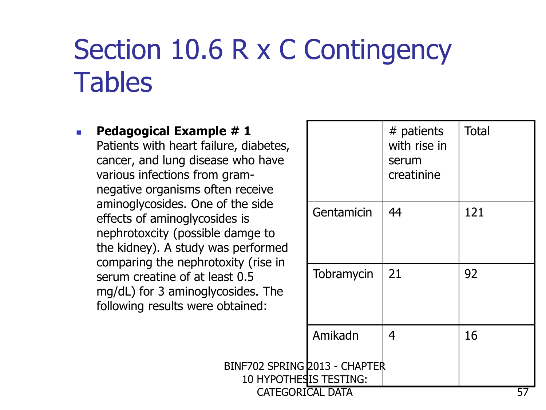BINF702 SPRING

**Pedagogical Example #1** Patients with heart failure, diabetes, cancer, and lung disease who have various infections from gramnegative organisms often receive aminoglycosides. One of the side effects of aminoglycosides is nephrotoxcity (possible damge to the kidney). A study was performed comparing the nephrotoxity (rise in serum creatine of at least 0.5 mg/dL) for 3 aminoglycosides. The following results were obtained:

| diabetes,<br>ho have<br>m-<br>eceive             |                            | # patients<br>with rise in<br>serum<br>creatinine | <b>Total</b> |
|--------------------------------------------------|----------------------------|---------------------------------------------------|--------------|
| e side<br>is<br>nge to<br>erformed<br>/ (rise in | Gentamicin                 | 44                                                | 121          |
| $.5\,$<br>les. The<br>ined:                      | Tobramycin                 | 21                                                | 92           |
|                                                  | Amikadn                    | 4                                                 | 16           |
| 10 HYPOTHESIS TESTING:                           | F702 SPRING 2013 - CHAPTER |                                                   |              |
| CATEGORICAL DATA                                 |                            |                                                   | 57           |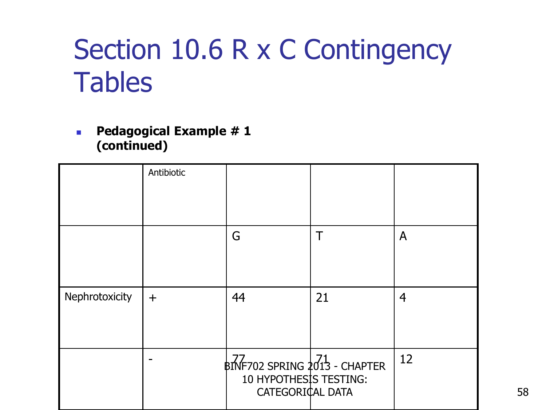**Pedagogical Example #1 (continued)**

|                | Antibiotic |                                                                                                                                                 |    |    |
|----------------|------------|-------------------------------------------------------------------------------------------------------------------------------------------------|----|----|
|                |            | G                                                                                                                                               | Τ  | A  |
| Nephrotoxicity | $\ddag$    | 44                                                                                                                                              | 21 | 4  |
|                |            | $\begin{array}{c} 1,77 \\ \text{BNF}702 \text{ SPRING } 2013 - \text{CHAPTER} \end{array}$<br><b>10 HYPOTHESIS TESTING:</b><br>CATEGORICAL DATA |    | 12 |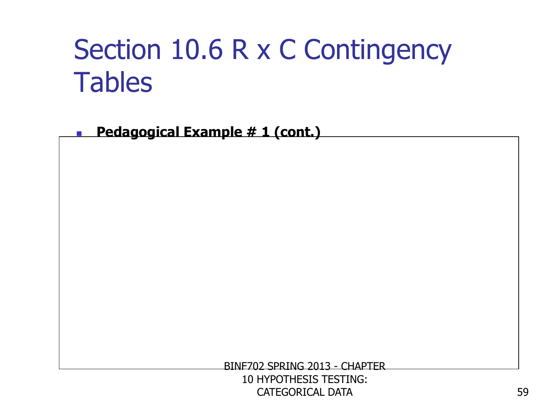**Pedagogical Example # 1 (cont.)**

BINF702 SPRING 2013 - CHAPTER

10 HYPOTHESIS TESTING: CATEGORICAL DATA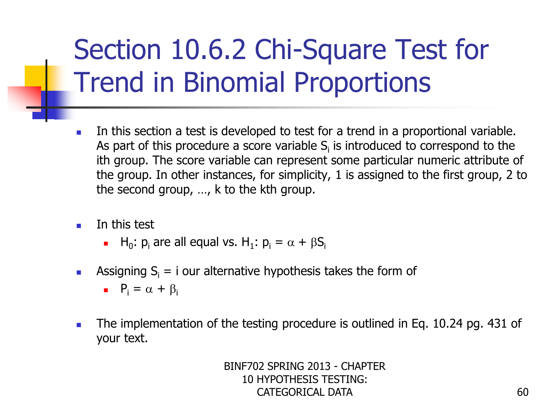# Section 10.6.2 Chi-Square Test for Trend in Binomial Proportions

- In this section a test is developed to test for a trend in a proportional variable. As part of this procedure a score variable  $S_i$  is introduced to correspond to the ith group. The score variable can represent some particular numeric attribute of the group. In other instances, for simplicity, 1 is assigned to the first group, 2 to the second group, …, k to the kth group.
- In this test
	- H<sub>0</sub>:  $p_i$  are all equal vs. H<sub>1</sub>:  $p_i = \alpha + \beta S_i$
- **Assigning S**<sub>i</sub> = i our alternative hypothesis takes the form of
	- $P_i = \alpha + \beta_i$
- The implementation of the testing procedure is outlined in Eq. 10.24 pg. 431 of your text.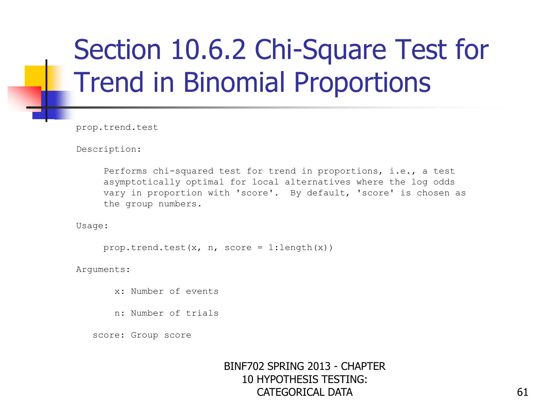## Section 10.6.2 Chi-Square Test for Trend in Binomial Proportions

prop.trend.test

Description:

 Performs chi-squared test for trend in proportions, i.e., a test asymptotically optimal for local alternatives where the log odds vary in proportion with 'score'. By default, 'score' is chosen as the group numbers.

Usage:

prop.trend.test(x, n, score =  $1:length(x)$ )

Arguments:

x: Number of events

n: Number of trials

score: Group score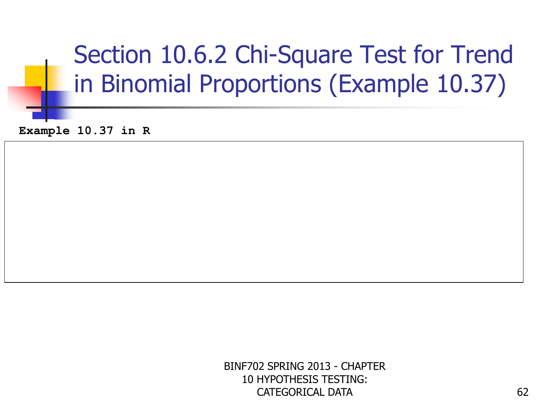## Section 10.6.2 Chi-Square Test for Trend in Binomial Proportions (Example 10.37)

**Example 10.37 in R**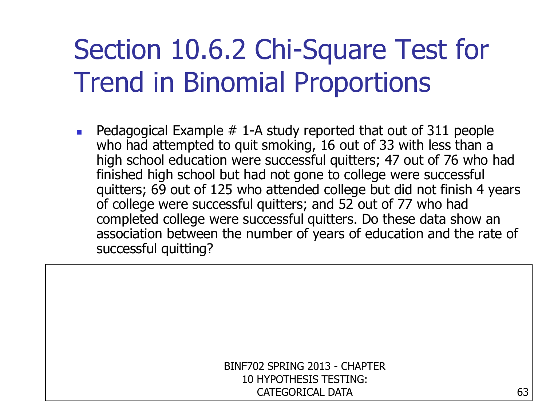## Section 10.6.2 Chi-Square Test for Trend in Binomial Proportions

 Pedagogical Example # 1-A study reported that out of 311 people who had attempted to quit smoking, 16 out of 33 with less than a high school education were successful quitters; 47 out of 76 who had finished high school but had not gone to college were successful quitters; 69 out of 125 who attended college but did not finish 4 years of college were successful quitters; and 52 out of 77 who had completed college were successful quitters. Do these data show an association between the number of years of education and the rate of successful quitting?

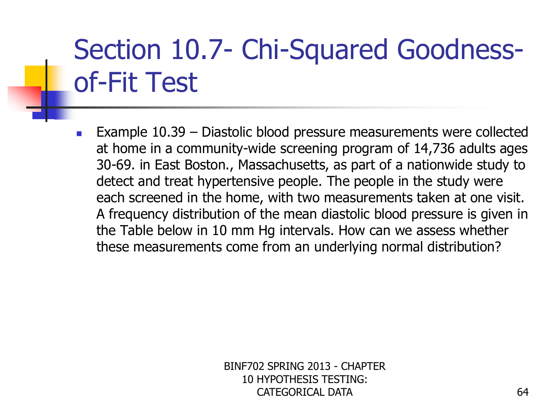**Example 10.39 – Diastolic blood pressure measurements were collected** at home in a community-wide screening program of 14,736 adults ages 30-69. in East Boston., Massachusetts, as part of a nationwide study to detect and treat hypertensive people. The people in the study were each screened in the home, with two measurements taken at one visit. A frequency distribution of the mean diastolic blood pressure is given in the Table below in 10 mm Hg intervals. How can we assess whether these measurements come from an underlying normal distribution?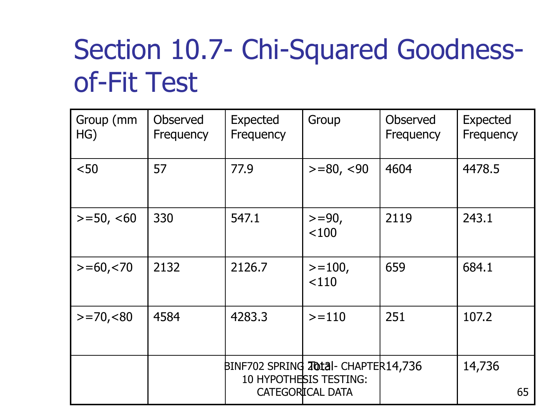| Group (mm<br>HG) | <b>Observed</b><br>Frequency | <b>Expected</b><br>Frequency        | Group                                      | <b>Observed</b><br>Frequency | <b>Expected</b><br>Frequency |
|------------------|------------------------------|-------------------------------------|--------------------------------------------|------------------------------|------------------------------|
| $50$             | 57                           | 77.9                                | $>= 80, < 90$                              | 4604                         | 4478.5                       |
| $>=$ 50, $<$ 60  | 330                          | 547.1                               | $>=$ 90,<br>< 100                          | 2119                         | 243.1                        |
| $>= 60, < 70$    | 2132                         | 2126.7                              | $>=100,$<br>< 110                          | 659                          | 684.1                        |
| $> = 70, 60$     | 4584                         | 4283.3                              | $>=110$                                    | 251                          | 107.2                        |
|                  |                              | BINF702 SPRING 20tal- CHAPTER14,736 | 10 HYPOTHESIS TESTING:<br>CATEGORICAL DATA |                              | 14,736<br>65                 |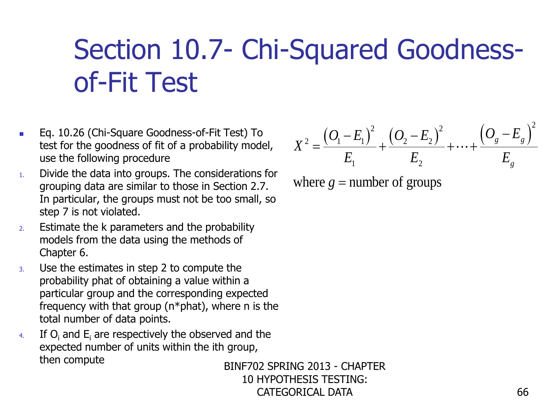- Eq. 10.26 (Chi-Square Goodness-of-Fit Test) To test for the goodness of fit of a probability model, use the following procedure
- 1. Divide the data into groups. The considerations for grouping data are similar to those in Section 2.7. In particular, the groups must not be too small, so step 7 is not violated.
- 2. Estimate the k parameters and the probability models from the data using the methods of Chapter 6.
- 3. Use the estimates in step 2 to compute the probability phat of obtaining a value within a particular group and the corresponding expected frequency with that group ( $n*$ phat), where n is the total number of data points. Eq. 10.26 (Chi-Square Goodness-of-Fit Test) To<br>
test for the goodness of fit of a probability model,<br>
use the following procedure<br>
Divide the data into groups. The considerations for<br>
Divide the data into groups must not
- 4. If  $O_i$  and  $E_i$  are respectively the observed and the expected number of units within the ith group,

BINF702 SPRING 2013 - CHAPTER 10 HYPOTHESIS TESTING: CATEGORICAL DATA

$$
X^{2} = \frac{(O_{1} - E_{1})^{2}}{E_{1}} + \frac{(O_{2} - E_{2})^{2}}{E_{2}} + \dots + \frac{(O_{g} - E_{g})^{2}}{E_{g}}
$$

where  $g =$  number of groups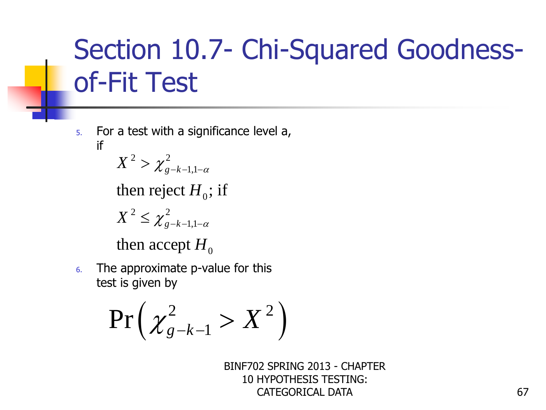5. For a test with a significance level a, if

$$
X^2 > \chi^2_{g-k-1,1-\alpha}
$$

then reject  $H_0$ ; if

$$
X^2 \leq \chi^2_{g-k-1,1-\alpha}
$$

then accept  $H_0^+$ 

6. The approximate p-value for this test is given by

$$
\Pr\left(\chi^2_{g-k-1} > X^2\right)
$$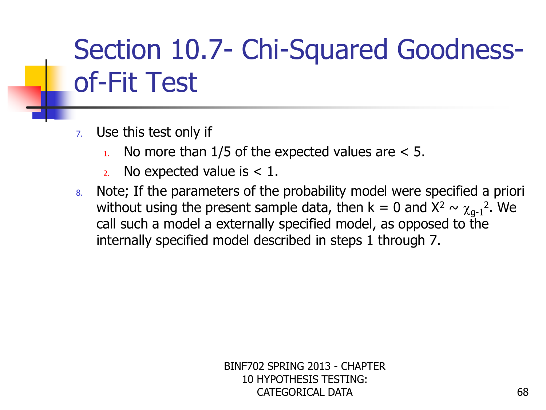- 7. Use this test only if
	- $\mu$ . No more than 1/5 of the expected values are  $\lt$  5.
	- 2. No expected value is  $< 1$ .
- 8. Note; If the parameters of the probability model were specified a priori without using the present sample data, then  $k = 0$  and  $X^2 \sim \chi_{g-1}^2$ . We call such a model a externally specified model, as opposed to the internally specified model described in steps 1 through 7.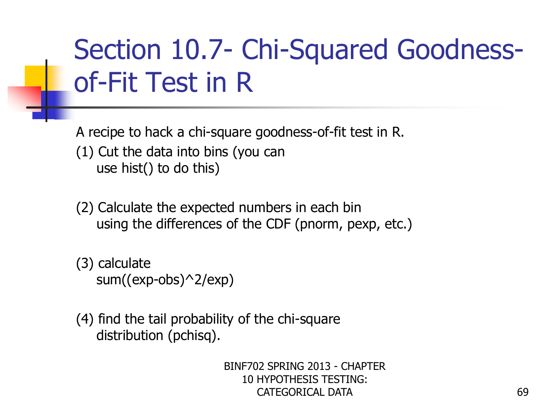A recipe to hack a chi-square goodness-of-fit test in R. (1) Cut the data into bins (you can use hist() to do this)

- (2) Calculate the expected numbers in each bin using the differences of the CDF (pnorm, pexp, etc.)
- (3) calculate sum((exp-obs)^2/exp)
- (4) find the tail probability of the chi-square distribution (pchisq).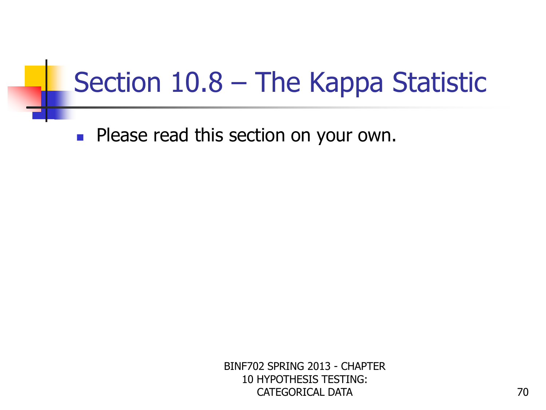## Section 10.8 – The Kappa Statistic

**Please read this section on your own.**